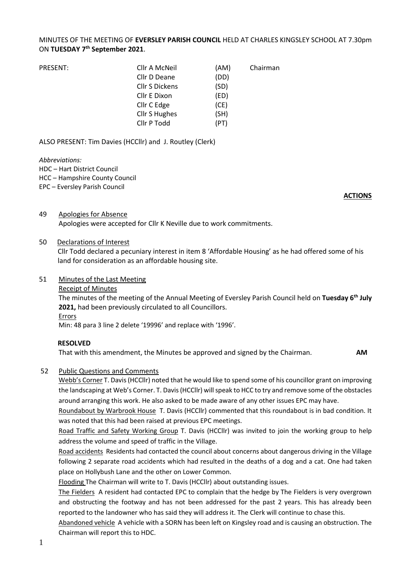## MINUTES OF THE MEETING OF **EVERSLEY PARISH COUNCIL** HELD AT CHARLES KINGSLEY SCHOOL AT 7.30pm ON **TUESDAY 7 th September 2021**.

| PRESENT: | Cllr A McNeil         | (AM) | Chairman |
|----------|-----------------------|------|----------|
|          | Cllr D Deane          | (DD) |          |
|          | <b>Cllr S Dickens</b> | (SD) |          |
|          | Cllr E Dixon          | (ED) |          |
|          | Cllr C Edge           | (CE) |          |
|          | Cllr S Hughes         | (SH) |          |
|          | Cllr P Todd           | (PT) |          |

ALSO PRESENT: Tim Davies (HCCllr) and J. Routley (Clerk)

#### *Abbreviations:*

- HDC Hart District Council
- HCC Hampshire County Council
- EPC Eversley Parish Council

#### **ACTIONS**

49 Apologies for Absence Apologies were accepted for Cllr K Neville due to work commitments.

### 50 Declarations of Interest

Cllr Todd declared a pecuniary interest in item 8 'Affordable Housing' as he had offered some of his land for consideration as an affordable housing site.

### 51 Minutes of the Last Meeting

Receipt of Minutes

The minutes of the meeting of the Annual Meeting of Eversley Parish Council held on **Tuesday 6 th July 2021,** had been previously circulated to all Councillors. Errors

Min: 48 para 3 line 2 delete '19996' and replace with '1996'.

## **RESOLVED**

That with this amendment, the Minutes be approved and signed by the Chairman. **AM**

## 52 Public Questions and Comments

Webb's Corner T. Davis (HCCllr) noted that he would like to spend some of his councillor grant on improving the landscaping at Web's Corner. T. Davis (HCCllr) will speak to HCC to try and remove some of the obstacles around arranging this work. He also asked to be made aware of any other issues EPC may have.

Roundabout by Warbrook House T. Davis (HCCllr) commented that this roundabout is in bad condition. It was noted that this had been raised at previous EPC meetings.

Road Traffic and Safety Working Group T. Davis (HCCllr) was invited to join the working group to help address the volume and speed of traffic in the Village.

Road accidents Residents had contacted the council about concerns about dangerous driving in the Village following 2 separate road accidents which had resulted in the deaths of a dog and a cat. One had taken place on Hollybush Lane and the other on Lower Common.

Flooding The Chairman will write to T. Davis (HCCllr) about outstanding issues.

The Fielders A resident had contacted EPC to complain that the hedge by The Fielders is very overgrown and obstructing the footway and has not been addressed for the past 2 years. This has already been reported to the landowner who has said they will address it. The Clerk will continue to chase this.

Abandoned vehicle A vehicle with a SORN has been left on Kingsley road and is causing an obstruction. The Chairman will report this to HDC.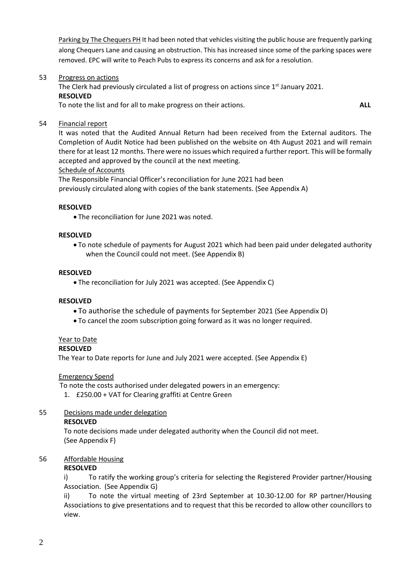Parking by The Chequers PH It had been noted that vehicles visiting the public house are frequently parking along Chequers Lane and causing an obstruction. This has increased since some of the parking spaces were removed. EPC will write to Peach Pubs to express its concerns and ask for a resolution.

53 Progress on actions

The Clerk had previously circulated a list of progress on actions since 1<sup>st</sup> January 2021. **RESOLVED** To note the list and for all to make progress on their actions. **ALL**

54 Financial report

It was noted that the Audited Annual Return had been received from the External auditors. The Completion of Audit Notice had been published on the website on 4th August 2021 and will remain there for at least 12 months. There were no issues which required a further report. This will be formally accepted and approved by the council at the next meeting.

### Schedule of Accounts

The Responsible Financial Officer's reconciliation for June 2021 had been previously circulated along with copies of the bank statements. (See Appendix A)

### **RESOLVED**

• The reconciliation for June 2021 was noted.

### **RESOLVED**

• To note schedule of payments for August 2021 which had been paid under delegated authority when the Council could not meet. (See Appendix B)

### **RESOLVED**

• The reconciliation for July 2021 was accepted. (See Appendix C)

#### **RESOLVED**

- To authorise the schedule of payments for September 2021 (See Appendix D)
- To cancel the zoom subscription going forward as it was no longer required.

#### Year to Date

#### **RESOLVED**

The Year to Date reports for June and July 2021 were accepted. (See Appendix E)

#### Emergency Spend

To note the costs authorised under delegated powers in an emergency:

1. £250.00 + VAT for Clearing graffiti at Centre Green

#### 55 Decisions made under delegation

#### **RESOLVED**

To note decisions made under delegated authority when the Council did not meet. (See Appendix F)

## 56 Affordable Housing

#### **RESOLVED**

i) To ratify the working group's criteria for selecting the Registered Provider partner/Housing Association. (See Appendix G)

ii) To note the virtual meeting of 23rd September at 10.30-12.00 for RP partner/Housing Associations to give presentations and to request that this be recorded to allow other councillors to view.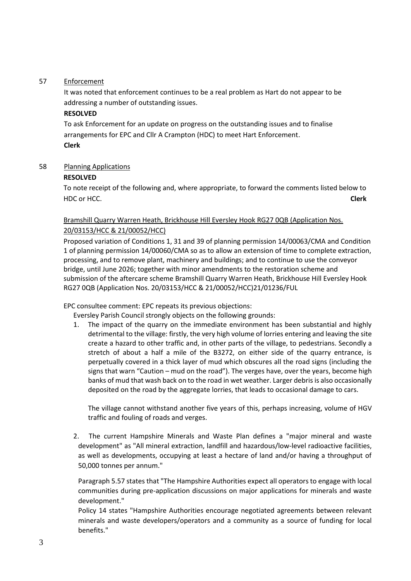## 57 Enforcement

It was noted that enforcement continues to be a real problem as Hart do not appear to be addressing a number of outstanding issues.

## **RESOLVED**

To ask Enforcement for an update on progress on the outstanding issues and to finalise arrangements for EPC and Cllr A Crampton (HDC) to meet Hart Enforcement. **Clerk**

## 58 Planning Applications

## **RESOLVED**

To note receipt of the following and, where appropriate, to forward the comments listed below to HDC or HCC. **Clerk**

## Bramshill Quarry Warren Heath, Brickhouse Hill Eversley Hook RG27 0QB (Application Nos. 20/03153/HCC & 21/00052/HCC)

Proposed variation of Conditions 1, 31 and 39 of planning permission 14/00063/CMA and Condition 1 of planning permission 14/00060/CMA so as to allow an extension of time to complete extraction, processing, and to remove plant, machinery and buildings; and to continue to use the conveyor bridge, until June 2026; together with minor amendments to the restoration scheme and submission of the aftercare scheme Bramshill Quarry Warren Heath, Brickhouse Hill Eversley Hook RG27 0QB (Application Nos. 20/03153/HCC & 21/00052/HCC)21/01236/FUL

EPC consultee comment: EPC repeats its previous objections:

Eversley Parish Council strongly objects on the following grounds:

1. The impact of the quarry on the immediate environment has been substantial and highly detrimental to the village: firstly, the very high volume of lorries entering and leaving the site create a hazard to other traffic and, in other parts of the village, to pedestrians. Secondly a stretch of about a half a mile of the B3272, on either side of the quarry entrance, is perpetually covered in a thick layer of mud which obscures all the road signs (including the signs that warn "Caution – mud on the road"). The verges have, over the years, become high banks of mud that wash back on to the road in wet weather. Larger debris is also occasionally deposited on the road by the aggregate lorries, that leads to occasional damage to cars.

The village cannot withstand another five years of this, perhaps increasing, volume of HGV traffic and fouling of roads and verges.

2. The current Hampshire Minerals and Waste Plan defines a "major mineral and waste development" as "All mineral extraction, landfill and hazardous/low-level radioactive facilities, as well as developments, occupying at least a hectare of land and/or having a throughput of 50,000 tonnes per annum."

Paragraph 5.57 states that "The Hampshire Authorities expect all operators to engage with local communities during pre-application discussions on major applications for minerals and waste development."

Policy 14 states "Hampshire Authorities encourage negotiated agreements between relevant minerals and waste developers/operators and a community as a source of funding for local benefits."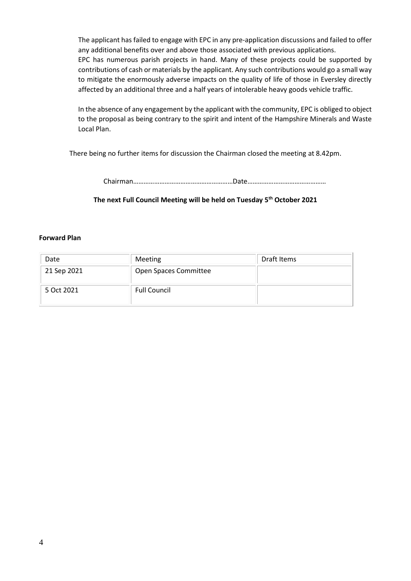The applicant has failed to engage with EPC in any pre-application discussions and failed to offer any additional benefits over and above those associated with previous applications. EPC has numerous parish projects in hand. Many of these projects could be supported by contributions of cash or materials by the applicant. Any such contributions would go a small way to mitigate the enormously adverse impacts on the quality of life of those in Eversley directly affected by an additional three and a half years of intolerable heavy goods vehicle traffic.

In the absence of any engagement by the applicant with the community, EPC is obliged to object to the proposal as being contrary to the spirit and intent of the Hampshire Minerals and Waste Local Plan.

There being no further items for discussion the Chairman closed the meeting at 8.42pm.

Chairman…………………………………………………Date………………………………………

## **The next Full Council Meeting will be held on Tuesday 5 th October 2021**

#### **Forward Plan**

| Date        | Meeting               | Draft Items |
|-------------|-----------------------|-------------|
| 21 Sep 2021 | Open Spaces Committee |             |
| 5 Oct 2021  | <b>Full Council</b>   |             |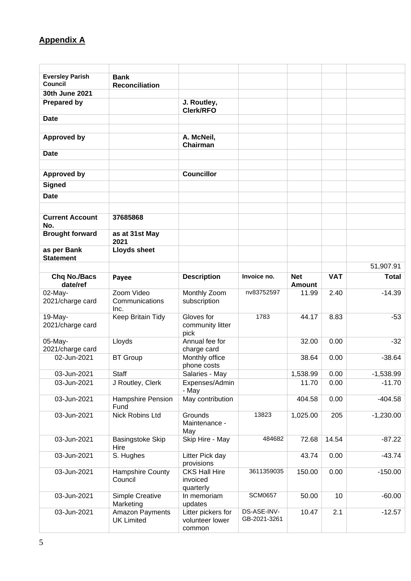# **Appendix A**

| <b>Eversley Parish</b><br><b>Council</b> | <b>Bank</b><br><b>Reconciliation</b> |                                                 |                             |                             |            |              |
|------------------------------------------|--------------------------------------|-------------------------------------------------|-----------------------------|-----------------------------|------------|--------------|
| 30th June 2021                           |                                      |                                                 |                             |                             |            |              |
| <b>Prepared by</b>                       |                                      | J. Routley,<br><b>Clerk/RFO</b>                 |                             |                             |            |              |
| <b>Date</b>                              |                                      |                                                 |                             |                             |            |              |
|                                          |                                      |                                                 |                             |                             |            |              |
| <b>Approved by</b>                       |                                      | A. McNeil,<br><b>Chairman</b>                   |                             |                             |            |              |
| <b>Date</b>                              |                                      |                                                 |                             |                             |            |              |
| <b>Approved by</b>                       |                                      | <b>Councillor</b>                               |                             |                             |            |              |
| <b>Signed</b>                            |                                      |                                                 |                             |                             |            |              |
| <b>Date</b>                              |                                      |                                                 |                             |                             |            |              |
|                                          |                                      |                                                 |                             |                             |            |              |
| <b>Current Account</b><br>No.            | 37685868                             |                                                 |                             |                             |            |              |
| <b>Brought forward</b>                   | as at 31st May<br>2021               |                                                 |                             |                             |            |              |
| as per Bank<br><b>Statement</b>          | <b>Lloyds sheet</b>                  |                                                 |                             |                             |            |              |
|                                          |                                      |                                                 |                             |                             |            | 51,907.91    |
| <b>Chq No./Bacs</b><br>date/ref          | Payee                                | <b>Description</b>                              | Invoice no.                 | <b>Net</b><br><b>Amount</b> | <b>VAT</b> | <b>Total</b> |
| 02-May-                                  | Zoom Video                           | Monthly Zoom                                    | nv83752597                  | 11.99                       | 2.40       | $-14.39$     |
| 2021/charge card                         | Communications<br>Inc.               | subscription                                    |                             |                             |            |              |
| 19-May-                                  | Keep Britain Tidy                    | Gloves for                                      | 1783                        | 44.17                       | 8.83       | $-53$        |
| 2021/charge card                         |                                      | community litter<br>pick                        |                             |                             |            |              |
| 05-May-                                  | Lloyds                               | Annual fee for                                  |                             | 32.00                       | 0.00       | $-32$        |
| 2021/charge card<br>02-Jun-2021          | <b>BT Group</b>                      | charge card<br>Monthly office                   |                             | 38.64                       | 0.00       | $-38.64$     |
|                                          |                                      | phone costs                                     |                             |                             |            |              |
| 03-Jun-2021                              | Staff                                | Salaries - May                                  |                             | 1,538.99                    | 0.00       | $-1,538.99$  |
| 03-Jun-2021                              | J Routley, Clerk                     | Expenses/Admin<br>- May                         |                             | 11.70                       | 0.00       | $-11.70$     |
| 03-Jun-2021                              | Hampshire Pension<br>Fund            | May contribution                                |                             | 404.58                      | 0.00       | $-404.58$    |
| 03-Jun-2021                              | Nick Robins Ltd                      | Grounds<br>Maintenance -<br>May                 | 13823                       | 1,025.00                    | 205        | $-1,230.00$  |
| 03-Jun-2021                              | Basingstoke Skip<br>Hire             | Skip Hire - May                                 | 484682                      | 72.68                       | 14.54      | $-87.22$     |
| 03-Jun-2021                              | S. Hughes                            | Litter Pick day<br>provisions                   |                             | 43.74                       | 0.00       | $-43.74$     |
| 03-Jun-2021                              | Hampshire County<br>Council          | <b>CKS Hall Hire</b><br>invoiced                | 3611359035                  | 150.00                      | 0.00       | $-150.00$    |
|                                          |                                      | quarterly                                       |                             |                             |            |              |
| 03-Jun-2021                              | Simple Creative<br>Marketing         | In memoriam<br>updates                          | <b>SCM0657</b>              | 50.00                       | 10         | $-60.00$     |
| 03-Jun-2021                              | Amazon Payments<br><b>UK Limited</b> | Litter pickers for<br>volunteer lower<br>common | DS-ASE-INV-<br>GB-2021-3261 | 10.47                       | 2.1        | $-12.57$     |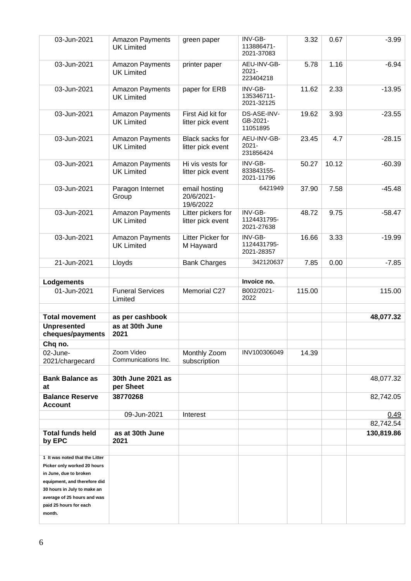| 03-Jun-2021                                                     |                                            |                                          |                                      |        |       |            |
|-----------------------------------------------------------------|--------------------------------------------|------------------------------------------|--------------------------------------|--------|-------|------------|
|                                                                 | Amazon Payments<br><b>UK Limited</b>       | green paper                              | INV-GB-<br>113886471-<br>2021-37083  | 3.32   | 0.67  | $-3.99$    |
| 03-Jun-2021                                                     | Amazon Payments<br><b>UK Limited</b>       | printer paper                            | AEU-INV-GB-<br>$2021 -$<br>223404218 | 5.78   | 1.16  | $-6.94$    |
| 03-Jun-2021                                                     | Amazon Payments<br><b>UK Limited</b>       | paper for ERB                            | INV-GB-<br>135346711-<br>2021-32125  | 11.62  | 2.33  | $-13.95$   |
| 03-Jun-2021                                                     | Amazon Payments<br><b>UK Limited</b>       | First Aid kit for<br>litter pick event   | DS-ASE-INV-<br>GB-2021-<br>11051895  | 19.62  | 3.93  | $-23.55$   |
| 03-Jun-2021                                                     | Amazon Payments<br><b>UK Limited</b>       | Black sacks for<br>litter pick event     | AEU-INV-GB-<br>$2021 -$<br>231856424 | 23.45  | 4.7   | $-28.15$   |
| 03-Jun-2021                                                     | Amazon Payments<br><b>UK Limited</b>       | Hi vis vests for<br>litter pick event    | INV-GB-<br>833843155-<br>2021-11796  | 50.27  | 10.12 | $-60.39$   |
| 03-Jun-2021                                                     | Paragon Internet<br>Group                  | email hosting<br>20/6/2021-<br>19/6/2022 | 6421949                              | 37.90  | 7.58  | $-45.48$   |
| 03-Jun-2021                                                     | Amazon Payments<br><b>UK Limited</b>       | Litter pickers for<br>litter pick event  | INV-GB-<br>1124431795-<br>2021-27638 | 48.72  | 9.75  | $-58.47$   |
| 03-Jun-2021                                                     | Amazon Payments<br><b>UK Limited</b>       | Litter Picker for<br>M Hayward           | INV-GB-<br>1124431795-<br>2021-28357 | 16.66  | 3.33  | $-19.99$   |
| 21-Jun-2021                                                     | Lloyds                                     | <b>Bank Charges</b>                      | 342120637                            | 7.85   | 0.00  | $-7.85$    |
|                                                                 |                                            |                                          |                                      |        |       |            |
| Lodgements                                                      |                                            |                                          | Invoice no.                          |        |       |            |
| 01-Jun-2021                                                     | <b>Funeral Services</b><br>Limited         | Memorial C27                             | B002/2021-<br>2022                   | 115.00 |       | 115.00     |
|                                                                 |                                            |                                          |                                      |        |       |            |
|                                                                 |                                            |                                          |                                      |        |       |            |
| <b>Total movement</b><br><b>Unpresented</b><br>cheques/payments | as per cashbook<br>as at 30th June<br>2021 |                                          |                                      |        |       | 48,077.32  |
| Chq no.                                                         |                                            |                                          |                                      |        |       |            |
| 02-June-<br>2021/chargecard                                     | Zoom Video<br>Communications Inc.          | Monthly Zoom<br>subscription             | INV100306049                         | 14.39  |       |            |
| <b>Bank Balance as</b><br>at                                    | 30th June 2021 as<br>per Sheet             |                                          |                                      |        |       | 48,077.32  |
| <b>Balance Reserve</b><br><b>Account</b>                        | 38770268                                   |                                          |                                      |        |       | 82,742.05  |
|                                                                 | 09-Jun-2021                                | Interest                                 |                                      |        |       | 0.49       |
|                                                                 |                                            |                                          |                                      |        |       | 82,742.54  |
| <b>Total funds held</b><br>by EPC                               | as at 30th June<br>2021                    |                                          |                                      |        |       | 130,819.86 |
|                                                                 |                                            |                                          |                                      |        |       |            |
| 1 It was noted that the Litter<br>Picker only worked 20 hours   |                                            |                                          |                                      |        |       |            |
| in June, due to broken                                          |                                            |                                          |                                      |        |       |            |
| equipment, and therefore did                                    |                                            |                                          |                                      |        |       |            |
| 30 hours in July to make an                                     |                                            |                                          |                                      |        |       |            |
| average of 25 hours and was                                     |                                            |                                          |                                      |        |       |            |
| paid 25 hours for each<br>month.                                |                                            |                                          |                                      |        |       |            |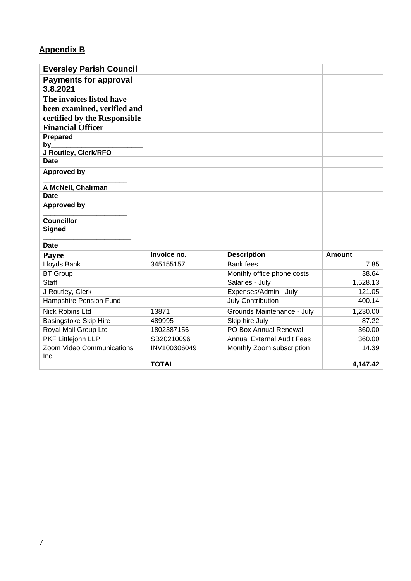## **Appendix B**

| <b>Eversley Parish Council</b>           |              |                                   |          |
|------------------------------------------|--------------|-----------------------------------|----------|
| <b>Payments for approval</b><br>3.8.2021 |              |                                   |          |
| The invoices listed have                 |              |                                   |          |
| been examined, verified and              |              |                                   |          |
| certified by the Responsible             |              |                                   |          |
| <b>Financial Officer</b>                 |              |                                   |          |
| Prepared                                 |              |                                   |          |
| by                                       |              |                                   |          |
| J Routley, Clerk/RFO                     |              |                                   |          |
| <b>Date</b>                              |              |                                   |          |
| <b>Approved by</b>                       |              |                                   |          |
| A McNeil, Chairman                       |              |                                   |          |
| <b>Date</b>                              |              |                                   |          |
| <b>Approved by</b>                       |              |                                   |          |
| <b>Councillor</b>                        |              |                                   |          |
| <b>Signed</b>                            |              |                                   |          |
| <b>Date</b>                              |              |                                   |          |
| Payee                                    | Invoice no.  | <b>Description</b>                | Amount   |
| Lloyds Bank                              | 345155157    | <b>Bank fees</b>                  | 7.85     |
| <b>BT</b> Group                          |              | Monthly office phone costs        | 38.64    |
| <b>Staff</b>                             |              | Salaries - July                   | 1,528.13 |
| J Routley, Clerk                         |              | Expenses/Admin - July             | 121.05   |
| Hampshire Pension Fund                   |              | <b>July Contribution</b>          | 400.14   |
| <b>Nick Robins Ltd</b>                   | 13871        | Grounds Maintenance - July        | 1,230.00 |
| Basingstoke Skip Hire                    | 489995       | Skip hire July                    | 87.22    |
| Royal Mail Group Ltd                     | 1802387156   | PO Box Annual Renewal             | 360.00   |
| PKF Littlejohn LLP                       | SB20210096   | <b>Annual External Audit Fees</b> | 360.00   |
| Zoom Video Communications                | INV100306049 | Monthly Zoom subscription         | 14.39    |
| Inc.                                     |              |                                   |          |
|                                          | <b>TOTAL</b> |                                   | 4,147.42 |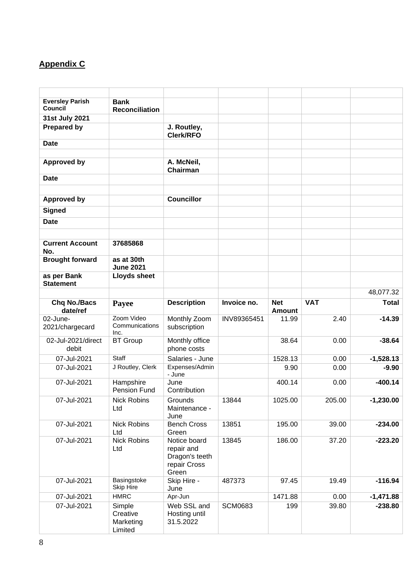## **Appendix C**

| <b>Eversley Parish</b><br><b>Council</b> | <b>Bank</b>                                |                                                                       |                |                             |            |              |
|------------------------------------------|--------------------------------------------|-----------------------------------------------------------------------|----------------|-----------------------------|------------|--------------|
| 31st July 2021                           | <b>Reconciliation</b>                      |                                                                       |                |                             |            |              |
| <b>Prepared by</b>                       |                                            | J. Routley,                                                           |                |                             |            |              |
|                                          |                                            | <b>Clerk/RFO</b>                                                      |                |                             |            |              |
| <b>Date</b>                              |                                            |                                                                       |                |                             |            |              |
|                                          |                                            |                                                                       |                |                             |            |              |
| <b>Approved by</b>                       |                                            | A. McNeil,<br>Chairman                                                |                |                             |            |              |
| <b>Date</b>                              |                                            |                                                                       |                |                             |            |              |
|                                          |                                            |                                                                       |                |                             |            |              |
| <b>Approved by</b>                       |                                            | <b>Councillor</b>                                                     |                |                             |            |              |
| <b>Signed</b>                            |                                            |                                                                       |                |                             |            |              |
| <b>Date</b>                              |                                            |                                                                       |                |                             |            |              |
|                                          |                                            |                                                                       |                |                             |            |              |
| <b>Current Account</b><br>No.            | 37685868                                   |                                                                       |                |                             |            |              |
| <b>Brought forward</b>                   | as at 30th<br><b>June 2021</b>             |                                                                       |                |                             |            |              |
| as per Bank<br><b>Statement</b>          | <b>Lloyds sheet</b>                        |                                                                       |                |                             |            |              |
|                                          |                                            |                                                                       |                |                             |            | 48,077.32    |
| <b>Chq No./Bacs</b><br>date/ref          | Payee                                      | <b>Description</b>                                                    | Invoice no.    | <b>Net</b><br><b>Amount</b> | <b>VAT</b> | <b>Total</b> |
| 02-June-                                 | Zoom Video                                 | Monthly Zoom                                                          | INV89365451    | 11.99                       | 2.40       | $-14.39$     |
| 2021/chargecard                          | Communications<br>Inc.                     | subscription                                                          |                |                             |            |              |
| 02-Jul-2021/direct<br>debit              | <b>BT</b> Group                            | Monthly office<br>phone costs                                         |                | 38.64                       | 0.00       | $-38.64$     |
| 07-Jul-2021                              | Staff                                      | Salaries - June                                                       |                | 1528.13                     | 0.00       | $-1,528.13$  |
| 07-Jul-2021                              | J Routley, Clerk                           | Expenses/Admin<br>- June                                              |                | 9.90                        | 0.00       | $-9.90$      |
| 07-Jul-2021                              | Hampshire<br><b>Pension Fund</b>           | June<br>Contribution                                                  |                | 400.14                      | 0.00       | $-400.14$    |
| 07-Jul-2021                              | <b>Nick Robins</b>                         | Grounds                                                               | 13844          | 1025.00                     | 205.00     | $-1,230.00$  |
|                                          | Ltd                                        | Maintenance -<br>June                                                 |                |                             |            |              |
| 07-Jul-2021                              | <b>Nick Robins</b><br>Ltd                  | <b>Bench Cross</b><br>Green                                           | 13851          | 195.00                      | 39.00      | $-234.00$    |
| 07-Jul-2021                              | <b>Nick Robins</b><br>Ltd                  | Notice board<br>repair and<br>Dragon's teeth<br>repair Cross<br>Green | 13845          | 186.00                      | 37.20      | $-223.20$    |
| 07-Jul-2021                              | Basingstoke<br><b>Skip Hire</b>            | Skip Hire -<br>June                                                   | 487373         | 97.45                       | 19.49      | $-116.94$    |
| 07-Jul-2021                              | <b>HMRC</b>                                | Apr-Jun                                                               |                | 1471.88                     | 0.00       | $-1,471.88$  |
| 07-Jul-2021                              | Simple<br>Creative<br>Marketing<br>Limited | Web SSL and<br>Hosting until<br>31.5.2022                             | <b>SCM0683</b> | 199                         | 39.80      | $-238.80$    |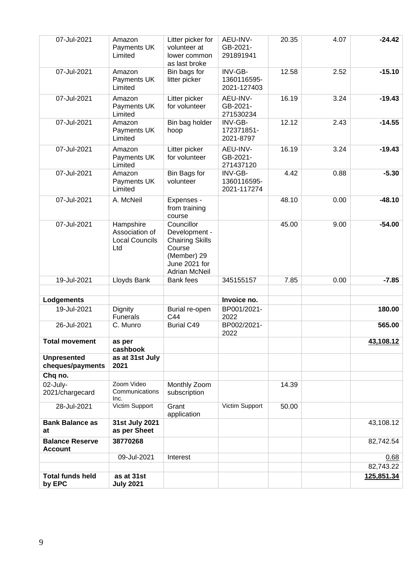| <b>Total funds held</b><br>by EPC        | as at 31st<br><b>July 2021</b>   |                                                                                          |                                       |       |      | 125,851.34 |
|------------------------------------------|----------------------------------|------------------------------------------------------------------------------------------|---------------------------------------|-------|------|------------|
|                                          |                                  |                                                                                          |                                       |       |      | 82,743.22  |
|                                          | 09-Jul-2021                      | Interest                                                                                 |                                       |       |      | 0.68       |
| <b>Balance Reserve</b><br><b>Account</b> | 38770268                         |                                                                                          |                                       |       |      | 82,742.54  |
| <b>Bank Balance as</b><br>at             | 31st July 2021<br>as per Sheet   |                                                                                          |                                       |       |      | 43,108.12  |
| 28-Jul-2021                              | Victim Support                   | Grant<br>application                                                                     | Victim Support                        | 50.00 |      |            |
| 2021/chargecard                          | Communications<br>Inc.           | subscription                                                                             |                                       |       |      |            |
| 02-July-                                 | Zoom Video                       | Monthly Zoom                                                                             |                                       | 14.39 |      |            |
| cheques/payments<br>Chq no.              | 2021                             |                                                                                          |                                       |       |      |            |
| <b>Unpresented</b>                       | cashbook<br>as at 31st July      |                                                                                          |                                       |       |      |            |
| <b>Total movement</b>                    | as per                           |                                                                                          | 2022                                  |       |      | 43,108.12  |
| 26-Jul-2021                              | <b>Funerals</b><br>C. Munro      | C44<br><b>Burial C49</b>                                                                 | 2022<br>BP002/2021-                   |       |      | 565.00     |
| 19-Jul-2021                              | Dignity                          | Burial re-open                                                                           | BP001/2021-                           |       |      | 180.00     |
| Lodgements                               |                                  |                                                                                          | Invoice no.                           |       |      |            |
| 19-Jul-2021                              | Lloyds Bank                      | Bank fees                                                                                | 345155157                             |       |      |            |
|                                          | <b>Local Councils</b><br>Ltd     | <b>Chairing Skills</b><br>Course<br>(Member) 29<br>June 2021 for<br><b>Adrian McNeil</b> |                                       | 7.85  | 0.00 | $-7.85$    |
| 07-Jul-2021                              | Hampshire<br>Association of      | course<br>Councillor<br>Development -                                                    |                                       | 45.00 | 9.00 | $-54.00$   |
| 07-Jul-2021                              | A. McNeil                        | Expenses -<br>from training                                                              |                                       | 48.10 | 0.00 | $-48.10$   |
| 07-Jul-2021                              | Amazon<br>Payments UK<br>Limited | Bin Bags for<br>volunteer                                                                | INV-GB-<br>1360116595-<br>2021-117274 | 4.42  | 0.88 | $-5.30$    |
| 07-Jul-2021                              | Amazon<br>Payments UK<br>Limited | Litter picker<br>for volunteer                                                           | AEU-INV-<br>GB-2021-<br>271437120     | 16.19 | 3.24 | $-19.43$   |
| 07-Jul-2021                              | Amazon<br>Payments UK<br>Limited | Bin bag holder<br>hoop                                                                   | INV-GB-<br>172371851-<br>2021-8797    | 12.12 | 2.43 | $-14.55$   |
| 07-Jul-2021                              | Amazon<br>Payments UK<br>Limited | Litter picker<br>for volunteer                                                           | AEU-INV-<br>GB-2021-<br>271530234     | 16.19 | 3.24 | $-19.43$   |
| 07-Jul-2021                              | Amazon<br>Payments UK<br>Limited | Bin bags for<br>litter picker                                                            | INV-GB-<br>1360116595-<br>2021-127403 | 12.58 | 2.52 | $-15.10$   |
| 07-Jul-2021                              | Amazon<br>Payments UK<br>Limited | Litter picker for<br>volunteer at<br>lower common<br>as last broke                       | AEU-INV-<br>GB-2021-<br>291891941     | 20.35 | 4.07 | $-24.42$   |
|                                          |                                  |                                                                                          |                                       |       |      |            |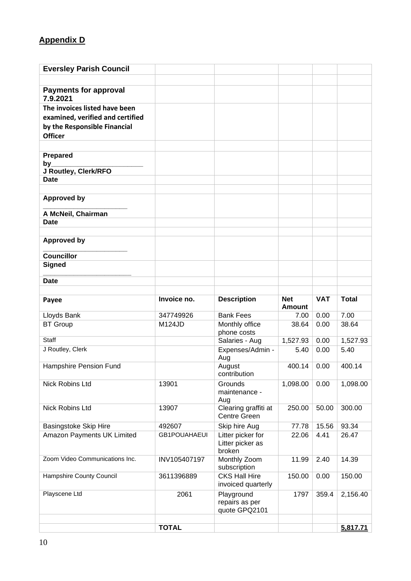## **Appendix D**

| <b>Eversley Parish Council</b>           |                               |                                                 |                             |               |                |
|------------------------------------------|-------------------------------|-------------------------------------------------|-----------------------------|---------------|----------------|
|                                          |                               |                                                 |                             |               |                |
| <b>Payments for approval</b><br>7.9.2021 |                               |                                                 |                             |               |                |
| The invoices listed have been            |                               |                                                 |                             |               |                |
| examined, verified and certified         |                               |                                                 |                             |               |                |
| by the Responsible Financial             |                               |                                                 |                             |               |                |
| <b>Officer</b>                           |                               |                                                 |                             |               |                |
|                                          |                               |                                                 |                             |               |                |
| Prepared<br>by                           |                               |                                                 |                             |               |                |
| J Routley, Clerk/RFO                     |                               |                                                 |                             |               |                |
| <b>Date</b>                              |                               |                                                 |                             |               |                |
|                                          |                               |                                                 |                             |               |                |
| <b>Approved by</b>                       |                               |                                                 |                             |               |                |
| A McNeil, Chairman                       |                               |                                                 |                             |               |                |
| <b>Date</b>                              |                               |                                                 |                             |               |                |
| <b>Approved by</b>                       |                               |                                                 |                             |               |                |
| <b>Councillor</b>                        |                               |                                                 |                             |               |                |
| <b>Signed</b>                            |                               |                                                 |                             |               |                |
| <b>Date</b>                              |                               |                                                 |                             |               |                |
|                                          |                               |                                                 |                             |               |                |
| Payee                                    | Invoice no.                   | <b>Description</b>                              | <b>Net</b><br><b>Amount</b> | <b>VAT</b>    | <b>Total</b>   |
| Lloyds Bank                              | 347749926                     | <b>Bank Fees</b>                                | 7.00                        | 0.00          | 7.00           |
| <b>BT Group</b>                          | M124JD                        | Monthly office<br>phone costs                   | 38.64                       | 0.00          | 38.64          |
| Staff                                    |                               | Salaries - Aug                                  | 1,527.93                    | 0.00          | 1,527.93       |
| J Routley, Clerk                         |                               | Expenses/Admin -<br>Aug                         | 5.40                        | 0.00          | 5.40           |
| Hampshire Pension Fund                   |                               | August<br>contribution                          | 400.14                      | 0.00          | 400.14         |
| Nick Robins Ltd                          |                               |                                                 |                             |               |                |
|                                          | 13901                         | Grounds<br>maintenance -                        | 1,098.00                    | 0.00          | 1,098.00       |
| Nick Robins Ltd                          | 13907                         | Aug<br>Clearing graffiti at                     | 250.00                      | 50.00         | 300.00         |
|                                          |                               | <b>Centre Green</b>                             |                             |               |                |
| Basingstoke Skip Hire                    | 492607<br><b>GB1POUAHAEUI</b> | Skip hire Aug                                   | 77.78<br>22.06              | 15.56<br>4.41 | 93.34<br>26.47 |
| Amazon Payments UK Limited               |                               | Litter picker for<br>Litter picker as<br>broken |                             |               |                |
| Zoom Video Communications Inc.           | INV105407197                  | Monthly Zoom<br>subscription                    | 11.99                       | 2.40          | 14.39          |
| Hampshire County Council                 | 3611396889                    | <b>CKS Hall Hire</b><br>invoiced quarterly      | 150.00                      | 0.00          | 150.00         |
| Playscene Ltd                            | 2061                          | Playground<br>repairs as per<br>quote GPQ2101   | 1797                        | 359.4         | 2,156.40       |
|                                          | <b>TOTAL</b>                  |                                                 |                             |               | 5,817.71       |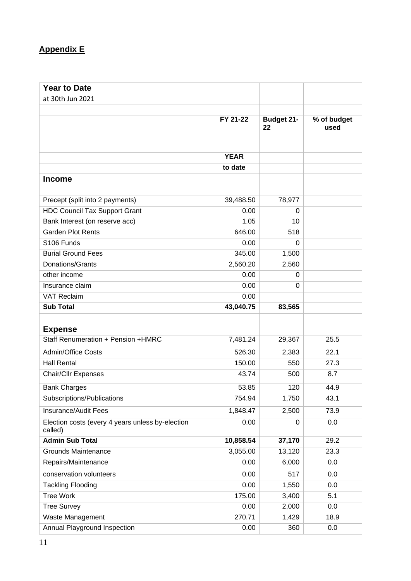## **Appendix E**

| <b>Year to Date</b>                                         |             |                         |                     |
|-------------------------------------------------------------|-------------|-------------------------|---------------------|
| at 30th Jun 2021                                            |             |                         |                     |
|                                                             |             |                         |                     |
|                                                             | FY 21-22    | <b>Budget 21-</b><br>22 | % of budget<br>used |
|                                                             | <b>YEAR</b> |                         |                     |
|                                                             | to date     |                         |                     |
| <b>Income</b>                                               |             |                         |                     |
|                                                             |             |                         |                     |
| Precept (split into 2 payments)                             | 39,488.50   | 78,977                  |                     |
| <b>HDC Council Tax Support Grant</b>                        | 0.00        | 0                       |                     |
| Bank Interest (on reserve acc)                              | 1.05        | 10                      |                     |
| <b>Garden Plot Rents</b>                                    | 646.00      | 518                     |                     |
| S106 Funds                                                  | 0.00        | 0                       |                     |
| <b>Burial Ground Fees</b>                                   | 345.00      | 1,500                   |                     |
| <b>Donations/Grants</b>                                     | 2,560.20    | 2,560                   |                     |
| other income                                                | 0.00        | 0                       |                     |
| Insurance claim                                             | 0.00        | 0                       |                     |
| <b>VAT Reclaim</b>                                          | 0.00        |                         |                     |
| <b>Sub Total</b>                                            | 43,040.75   | 83,565                  |                     |
|                                                             |             |                         |                     |
| <b>Expense</b>                                              |             |                         |                     |
| Staff Renumeration + Pension +HMRC                          | 7,481.24    | 29,367                  | 25.5                |
| <b>Admin/Office Costs</b>                                   | 526.30      | 2,383                   | 22.1                |
| <b>Hall Rental</b>                                          | 150.00      | 550                     | 27.3                |
| Chair/Cllr Expenses                                         | 43.74       | 500                     | 8.7                 |
| <b>Bank Charges</b>                                         | 53.85       | 120                     | 44.9                |
| Subscriptions/Publications                                  | 754.94      | 1,750                   | 43.1                |
| <b>Insurance/Audit Fees</b>                                 | 1,848.47    | 2,500                   | 73.9                |
| Election costs (every 4 years unless by-election<br>called) | 0.00        | 0                       | 0.0                 |
| <b>Admin Sub Total</b>                                      | 10,858.54   | 37,170                  | 29.2                |
| <b>Grounds Maintenance</b>                                  | 3,055.00    | 13,120                  | 23.3                |
| Repairs/Maintenance                                         | 0.00        | 6,000                   | 0.0                 |
| conservation volunteers                                     | 0.00        | 517                     | 0.0                 |
| <b>Tackling Flooding</b>                                    | 0.00        | 1,550                   | 0.0                 |
| <b>Tree Work</b>                                            | 175.00      | 3,400                   | 5.1                 |
| <b>Tree Survey</b>                                          | 0.00        | 2,000                   | 0.0                 |
| Waste Management                                            | 270.71      | 1,429                   | 18.9                |
| Annual Playground Inspection                                | 0.00        | 360                     | 0.0                 |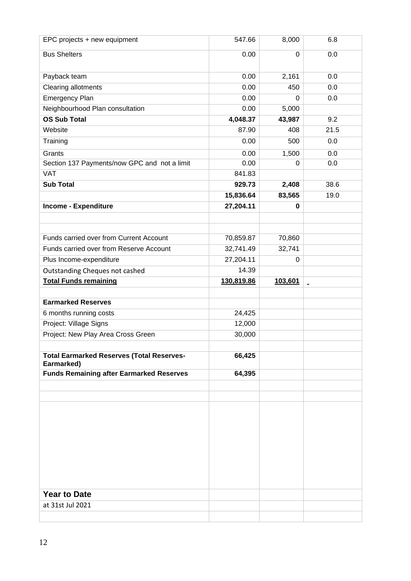| EPC projects + new equipment                                  | 547.66     | 8,000          | 6.8            |
|---------------------------------------------------------------|------------|----------------|----------------|
| <b>Bus Shelters</b>                                           | 0.00       | $\overline{0}$ | 0.0            |
| Payback team                                                  | 0.00       | 2,161          | 0.0            |
| Clearing allotments                                           | 0.00       | 450            | 0.0            |
| <b>Emergency Plan</b>                                         | 0.00       | $\Omega$       | 0.0            |
| Neighbourhood Plan consultation                               | 0.00       | 5,000          |                |
| <b>OS Sub Total</b>                                           | 4,048.37   | 43,987         | 9.2            |
| Website                                                       | 87.90      | 408            | 21.5           |
| Training                                                      | 0.00       | 500            | 0.0            |
| Grants                                                        | 0.00       | 1,500          | 0.0            |
| Section 137 Payments/now GPC and not a limit                  | 0.00       | 0              | 0.0            |
| <b>VAT</b>                                                    | 841.83     |                |                |
| <b>Sub Total</b>                                              | 929.73     | 2,408          | 38.6           |
|                                                               | 15,836.64  | 83,565         | 19.0           |
| <b>Income - Expenditure</b>                                   | 27,204.11  | 0              |                |
|                                                               |            |                |                |
|                                                               |            |                |                |
| Funds carried over from Current Account                       | 70,859.87  | 70,860         |                |
| Funds carried over from Reserve Account                       | 32,741.49  | 32,741         |                |
| Plus Income-expenditure                                       | 27,204.11  | $\Omega$       |                |
| Outstanding Cheques not cashed                                | 14.39      |                |                |
| <b>Total Funds remaining</b>                                  | 130,819.86 | 103,601        | $\blacksquare$ |
|                                                               |            |                |                |
| <b>Earmarked Reserves</b>                                     |            |                |                |
| 6 months running costs                                        | 24,425     |                |                |
| Project: Village Signs                                        | 12,000     |                |                |
| Project: New Play Area Cross Green                            | 30,000     |                |                |
|                                                               |            |                |                |
|                                                               |            |                |                |
| <b>Total Earmarked Reserves (Total Reserves-</b>              | 66,425     |                |                |
| Earmarked)<br><b>Funds Remaining after Earmarked Reserves</b> | 64,395     |                |                |
|                                                               |            |                |                |
|                                                               |            |                |                |
|                                                               |            |                |                |
|                                                               |            |                |                |
|                                                               |            |                |                |
|                                                               |            |                |                |
|                                                               |            |                |                |
|                                                               |            |                |                |
|                                                               |            |                |                |
|                                                               |            |                |                |
| <b>Year to Date</b>                                           |            |                |                |
| at 31st Jul 2021                                              |            |                |                |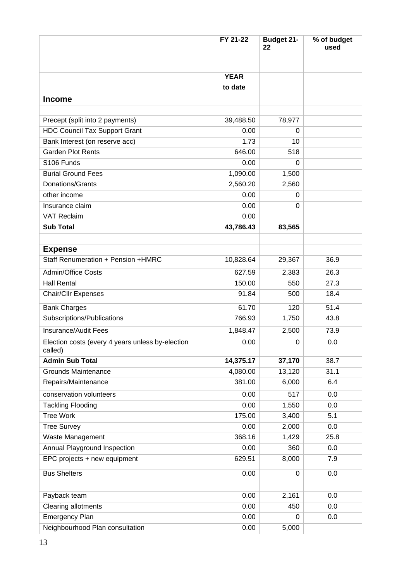|                                                             | FY 21-22    | <b>Budget 21-</b><br>22 | % of budget<br>used |
|-------------------------------------------------------------|-------------|-------------------------|---------------------|
|                                                             |             |                         |                     |
|                                                             | <b>YEAR</b> |                         |                     |
|                                                             | to date     |                         |                     |
| <b>Income</b>                                               |             |                         |                     |
|                                                             |             |                         |                     |
| Precept (split into 2 payments)                             | 39,488.50   | 78,977                  |                     |
| <b>HDC Council Tax Support Grant</b>                        | 0.00        | 0                       |                     |
| Bank Interest (on reserve acc)                              | 1.73        | 10                      |                     |
| <b>Garden Plot Rents</b>                                    | 646.00      | 518                     |                     |
| S106 Funds                                                  | 0.00        | 0                       |                     |
| <b>Burial Ground Fees</b>                                   | 1,090.00    | 1,500                   |                     |
| Donations/Grants                                            | 2,560.20    | 2,560                   |                     |
| other income                                                | 0.00        | 0                       |                     |
| Insurance claim                                             | 0.00        | 0                       |                     |
| <b>VAT Reclaim</b>                                          | 0.00        |                         |                     |
| <b>Sub Total</b>                                            | 43,786.43   | 83,565                  |                     |
|                                                             |             |                         |                     |
| <b>Expense</b>                                              |             |                         |                     |
| Staff Renumeration + Pension +HMRC                          | 10,828.64   | 29,367                  | 36.9                |
| <b>Admin/Office Costs</b>                                   | 627.59      | 2,383                   | 26.3                |
| <b>Hall Rental</b>                                          | 150.00      | 550                     | 27.3                |
| <b>Chair/Cllr Expenses</b>                                  | 91.84       | 500                     | 18.4                |
| <b>Bank Charges</b>                                         | 61.70       | 120                     | 51.4                |
| Subscriptions/Publications                                  | 766.93      | 1,750                   | 43.8                |
| Insurance/Audit Fees                                        | 1,848.47    | 2,500                   | 73.9                |
| Election costs (every 4 years unless by-election<br>called) | 0.00        | 0                       | 0.0                 |
| <b>Admin Sub Total</b>                                      | 14,375.17   | 37,170                  | 38.7                |
| <b>Grounds Maintenance</b>                                  | 4,080.00    | 13,120                  | 31.1                |
| Repairs/Maintenance                                         | 381.00      | 6,000                   | 6.4                 |
| conservation volunteers                                     | 0.00        | 517                     | 0.0                 |
| <b>Tackling Flooding</b>                                    | 0.00        | 1,550                   | 0.0                 |
| <b>Tree Work</b>                                            | 175.00      | 3,400                   | 5.1                 |
| <b>Tree Survey</b>                                          | 0.00        | 2,000                   | 0.0                 |
| Waste Management                                            | 368.16      | 1,429                   | 25.8                |
| Annual Playground Inspection                                | 0.00        | 360                     | 0.0                 |
| EPC projects + new equipment                                | 629.51      | 8,000                   | 7.9                 |
| <b>Bus Shelters</b>                                         | 0.00        | $\mathbf 0$             | 0.0                 |
| Payback team                                                | 0.00        | 2,161                   | 0.0                 |
| <b>Clearing allotments</b>                                  | 0.00        | 450                     | 0.0                 |
| <b>Emergency Plan</b>                                       | 0.00        | 0                       | 0.0                 |
| Neighbourhood Plan consultation                             | 0.00        | 5,000                   |                     |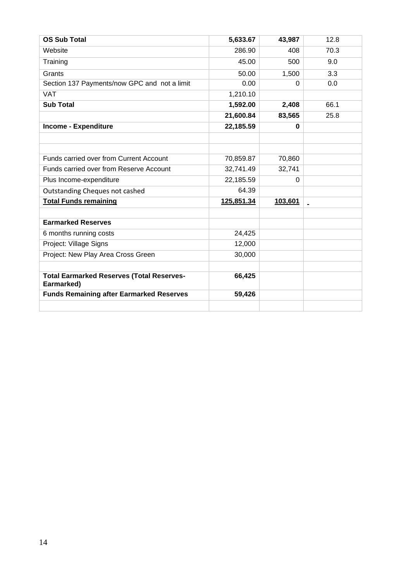| <b>OS Sub Total</b>                                            | 5,633.67   | 43,987   | 12.8           |
|----------------------------------------------------------------|------------|----------|----------------|
| Website                                                        | 286.90     | 408      | 70.3           |
| Training                                                       | 45.00      | 500      | 9.0            |
| Grants                                                         | 50.00      | 1,500    | 3.3            |
| Section 137 Payments/now GPC and not a limit                   | 0.00       | 0        | 0.0            |
| <b>VAT</b>                                                     | 1,210.10   |          |                |
| <b>Sub Total</b>                                               | 1,592.00   | 2,408    | 66.1           |
|                                                                | 21,600.84  | 83,565   | 25.8           |
| <b>Income - Expenditure</b>                                    | 22,185.59  | $\bf{0}$ |                |
|                                                                |            |          |                |
|                                                                |            |          |                |
| Funds carried over from Current Account                        | 70,859.87  | 70,860   |                |
| Funds carried over from Reserve Account                        | 32,741.49  | 32,741   |                |
| Plus Income-expenditure                                        | 22,185.59  | $\Omega$ |                |
| Outstanding Cheques not cashed                                 | 64.39      |          |                |
| <b>Total Funds remaining</b>                                   | 125,851.34 | 103,601  | $\blacksquare$ |
|                                                                |            |          |                |
| <b>Earmarked Reserves</b>                                      |            |          |                |
| 6 months running costs                                         | 24,425     |          |                |
| Project: Village Signs                                         | 12,000     |          |                |
| Project: New Play Area Cross Green                             | 30,000     |          |                |
|                                                                |            |          |                |
| <b>Total Earmarked Reserves (Total Reserves-</b><br>Earmarked) | 66,425     |          |                |
| <b>Funds Remaining after Earmarked Reserves</b>                | 59,426     |          |                |
|                                                                |            |          |                |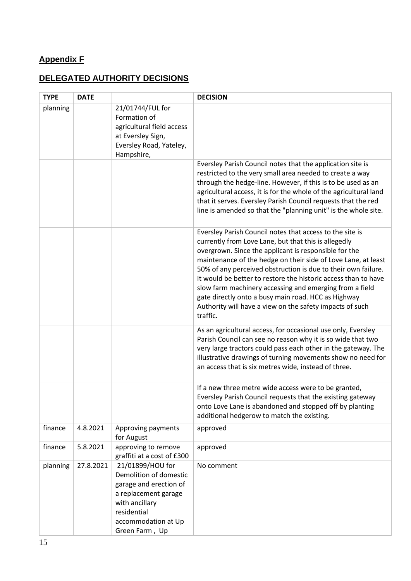# **Appendix F**

## **DELEGATED AUTHORITY DECISIONS**

| <b>TYPE</b> | <b>DATE</b> |                                                                                                                                                                        | <b>DECISION</b>                                                                                                                                                                                                                                                                                                                                                                                                                                                                                                                                                         |
|-------------|-------------|------------------------------------------------------------------------------------------------------------------------------------------------------------------------|-------------------------------------------------------------------------------------------------------------------------------------------------------------------------------------------------------------------------------------------------------------------------------------------------------------------------------------------------------------------------------------------------------------------------------------------------------------------------------------------------------------------------------------------------------------------------|
| planning    |             | 21/01744/FUL for<br>Formation of<br>agricultural field access<br>at Eversley Sign,<br>Eversley Road, Yateley,<br>Hampshire,                                            |                                                                                                                                                                                                                                                                                                                                                                                                                                                                                                                                                                         |
|             |             |                                                                                                                                                                        | Eversley Parish Council notes that the application site is<br>restricted to the very small area needed to create a way<br>through the hedge-line. However, if this is to be used as an<br>agricultural access, it is for the whole of the agricultural land<br>that it serves. Eversley Parish Council requests that the red<br>line is amended so that the "planning unit" is the whole site.                                                                                                                                                                          |
|             |             |                                                                                                                                                                        | Eversley Parish Council notes that access to the site is<br>currently from Love Lane, but that this is allegedly<br>overgrown. Since the applicant is responsible for the<br>maintenance of the hedge on their side of Love Lane, at least<br>50% of any perceived obstruction is due to their own failure.<br>It would be better to restore the historic access than to have<br>slow farm machinery accessing and emerging from a field<br>gate directly onto a busy main road. HCC as Highway<br>Authority will have a view on the safety impacts of such<br>traffic. |
|             |             |                                                                                                                                                                        | As an agricultural access, for occasional use only, Eversley<br>Parish Council can see no reason why it is so wide that two<br>very large tractors could pass each other in the gateway. The<br>illustrative drawings of turning movements show no need for<br>an access that is six metres wide, instead of three.                                                                                                                                                                                                                                                     |
|             |             |                                                                                                                                                                        | If a new three metre wide access were to be granted,<br>Eversley Parish Council requests that the existing gateway<br>onto Love Lane is abandoned and stopped off by planting<br>additional hedgerow to match the existing.                                                                                                                                                                                                                                                                                                                                             |
| finance     | 4.8.2021    | Approving payments<br>for August                                                                                                                                       | approved                                                                                                                                                                                                                                                                                                                                                                                                                                                                                                                                                                |
| finance     | 5.8.2021    | approving to remove<br>graffiti at a cost of £300                                                                                                                      | approved                                                                                                                                                                                                                                                                                                                                                                                                                                                                                                                                                                |
| planning    | 27.8.2021   | 21/01899/HOU for<br>Demolition of domestic<br>garage and erection of<br>a replacement garage<br>with ancillary<br>residential<br>accommodation at Up<br>Green Farm, Up | No comment                                                                                                                                                                                                                                                                                                                                                                                                                                                                                                                                                              |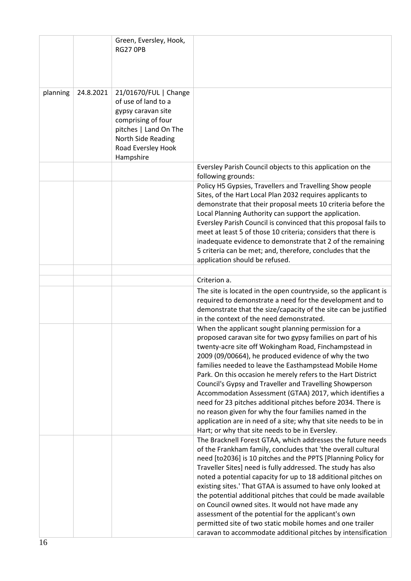|          |           | Green, Eversley, Hook,<br><b>RG27 OPB</b>                                                                                                                                  |                                                                                                                                                                                                                                                                                                                                                                                                                                                                                                                                                                                                                                                                                                                                      |
|----------|-----------|----------------------------------------------------------------------------------------------------------------------------------------------------------------------------|--------------------------------------------------------------------------------------------------------------------------------------------------------------------------------------------------------------------------------------------------------------------------------------------------------------------------------------------------------------------------------------------------------------------------------------------------------------------------------------------------------------------------------------------------------------------------------------------------------------------------------------------------------------------------------------------------------------------------------------|
| planning | 24.8.2021 | 21/01670/FUL   Change<br>of use of land to a<br>gypsy caravan site<br>comprising of four<br>pitches   Land On The<br>North Side Reading<br>Road Eversley Hook<br>Hampshire |                                                                                                                                                                                                                                                                                                                                                                                                                                                                                                                                                                                                                                                                                                                                      |
|          |           |                                                                                                                                                                            | Eversley Parish Council objects to this application on the<br>following grounds:                                                                                                                                                                                                                                                                                                                                                                                                                                                                                                                                                                                                                                                     |
|          |           |                                                                                                                                                                            | Policy H5 Gypsies, Travellers and Travelling Show people<br>Sites, of the Hart Local Plan 2032 requires applicants to<br>demonstrate that their proposal meets 10 criteria before the<br>Local Planning Authority can support the application.<br>Eversley Parish Council is convinced that this proposal fails to<br>meet at least 5 of those 10 criteria; considers that there is<br>inadequate evidence to demonstrate that 2 of the remaining<br>5 criteria can be met; and, therefore, concludes that the<br>application should be refused.                                                                                                                                                                                     |
|          |           |                                                                                                                                                                            | Criterion a.                                                                                                                                                                                                                                                                                                                                                                                                                                                                                                                                                                                                                                                                                                                         |
|          |           |                                                                                                                                                                            | The site is located in the open countryside, so the applicant is<br>required to demonstrate a need for the development and to<br>demonstrate that the size/capacity of the site can be justified<br>in the context of the need demonstrated.                                                                                                                                                                                                                                                                                                                                                                                                                                                                                         |
|          |           |                                                                                                                                                                            | When the applicant sought planning permission for a<br>proposed caravan site for two gypsy families on part of his<br>twenty-acre site off Wokingham Road, Finchampstead in<br>2009 (09/00664), he produced evidence of why the two<br>families needed to leave the Easthampstead Mobile Home<br>Park. On this occasion he merely refers to the Hart District<br>Council's Gypsy and Traveller and Travelling Showperson<br>Accommodation Assessment (GTAA) 2017, which identifies a<br>need for 23 pitches additional pitches before 2034. There is<br>no reason given for why the four families named in the<br>application are in need of a site; why that site needs to be in<br>Hart; or why that site needs to be in Eversley. |
|          |           |                                                                                                                                                                            | The Bracknell Forest GTAA, which addresses the future needs<br>of the Frankham family, concludes that 'the overall cultural<br>need [to2036] is 10 pitches and the PPTS [Planning Policy for<br>Traveller Sites] need is fully addressed. The study has also<br>noted a potential capacity for up to 18 additional pitches on<br>existing sites.' That GTAA is assumed to have only looked at<br>the potential additional pitches that could be made available<br>on Council owned sites. It would not have made any<br>assessment of the potential for the applicant's own<br>permitted site of two static mobile homes and one trailer<br>caravan to accommodate additional pitches by intensification                             |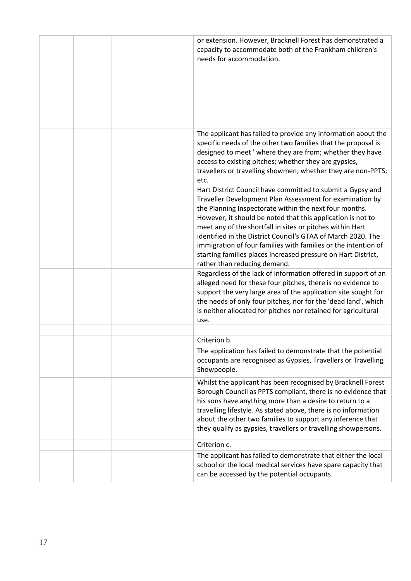|  | or extension. However, Bracknell Forest has demonstrated a<br>capacity to accommodate both of the Frankham children's<br>needs for accommodation.                                                                                                                                                                                                                                                                                                                                                                                               |
|--|-------------------------------------------------------------------------------------------------------------------------------------------------------------------------------------------------------------------------------------------------------------------------------------------------------------------------------------------------------------------------------------------------------------------------------------------------------------------------------------------------------------------------------------------------|
|  | The applicant has failed to provide any information about the<br>specific needs of the other two families that the proposal is<br>designed to meet ' where they are from; whether they have<br>access to existing pitches; whether they are gypsies,<br>travellers or travelling showmen; whether they are non-PPTS;<br>etc.                                                                                                                                                                                                                    |
|  | Hart District Council have committed to submit a Gypsy and<br>Traveller Development Plan Assessment for examination by<br>the Planning Inspectorate within the next four months.<br>However, it should be noted that this application is not to<br>meet any of the shortfall in sites or pitches within Hart<br>identified in the District Council's GTAA of March 2020. The<br>immigration of four families with families or the intention of<br>starting families places increased pressure on Hart District,<br>rather than reducing demand. |
|  | Regardless of the lack of information offered in support of an<br>alleged need for these four pitches, there is no evidence to<br>support the very large area of the application site sought for<br>the needs of only four pitches, nor for the 'dead land', which<br>is neither allocated for pitches nor retained for agricultural<br>use.                                                                                                                                                                                                    |
|  |                                                                                                                                                                                                                                                                                                                                                                                                                                                                                                                                                 |
|  | Criterion b.                                                                                                                                                                                                                                                                                                                                                                                                                                                                                                                                    |
|  | The application has failed to demonstrate that the potential<br>occupants are recognised as Gypsies, Travellers or Travelling<br>Showpeople.                                                                                                                                                                                                                                                                                                                                                                                                    |
|  | Whilst the applicant has been recognised by Bracknell Forest<br>Borough Council as PPTS compliant, there is no evidence that<br>his sons have anything more than a desire to return to a<br>travelling lifestyle. As stated above, there is no information<br>about the other two families to support any inference that<br>they qualify as gypsies, travellers or travelling showpersons.                                                                                                                                                      |
|  | Criterion c.                                                                                                                                                                                                                                                                                                                                                                                                                                                                                                                                    |
|  | The applicant has failed to demonstrate that either the local<br>school or the local medical services have spare capacity that<br>can be accessed by the potential occupants.                                                                                                                                                                                                                                                                                                                                                                   |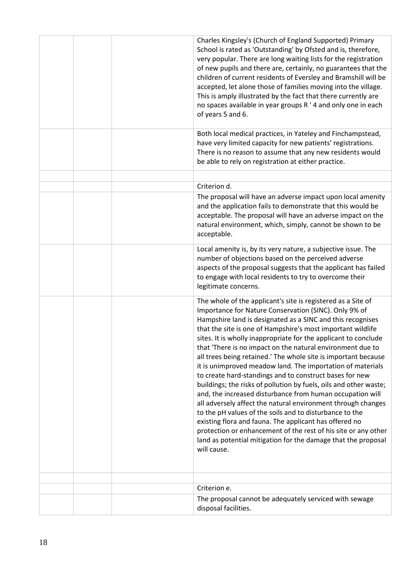|  | Charles Kingsley's (Church of England Supported) Primary<br>School is rated as 'Outstanding' by Ofsted and is, therefore,<br>very popular. There are long waiting lists for the registration<br>of new pupils and there are, certainly, no guarantees that the<br>children of current residents of Eversley and Bramshill will be<br>accepted, let alone those of families moving into the village.<br>This is amply illustrated by the fact that there currently are<br>no spaces available in year groups R ' 4 and only one in each<br>of years 5 and 6.                                                                                                                                                                                                                                                                                                                                                                                                                                                                                             |
|--|---------------------------------------------------------------------------------------------------------------------------------------------------------------------------------------------------------------------------------------------------------------------------------------------------------------------------------------------------------------------------------------------------------------------------------------------------------------------------------------------------------------------------------------------------------------------------------------------------------------------------------------------------------------------------------------------------------------------------------------------------------------------------------------------------------------------------------------------------------------------------------------------------------------------------------------------------------------------------------------------------------------------------------------------------------|
|  | Both local medical practices, in Yateley and Finchampstead,<br>have very limited capacity for new patients' registrations.<br>There is no reason to assume that any new residents would<br>be able to rely on registration at either practice.                                                                                                                                                                                                                                                                                                                                                                                                                                                                                                                                                                                                                                                                                                                                                                                                          |
|  |                                                                                                                                                                                                                                                                                                                                                                                                                                                                                                                                                                                                                                                                                                                                                                                                                                                                                                                                                                                                                                                         |
|  | Criterion d.<br>The proposal will have an adverse impact upon local amenity<br>and the application fails to demonstrate that this would be                                                                                                                                                                                                                                                                                                                                                                                                                                                                                                                                                                                                                                                                                                                                                                                                                                                                                                              |
|  | acceptable. The proposal will have an adverse impact on the<br>natural environment, which, simply, cannot be shown to be<br>acceptable.                                                                                                                                                                                                                                                                                                                                                                                                                                                                                                                                                                                                                                                                                                                                                                                                                                                                                                                 |
|  | Local amenity is, by its very nature, a subjective issue. The<br>number of objections based on the perceived adverse<br>aspects of the proposal suggests that the applicant has failed<br>to engage with local residents to try to overcome their<br>legitimate concerns.                                                                                                                                                                                                                                                                                                                                                                                                                                                                                                                                                                                                                                                                                                                                                                               |
|  | The whole of the applicant's site is registered as a Site of<br>Importance for Nature Conservation (SINC). Only 9% of<br>Hampshire land is designated as a SINC and this recognises<br>that the site is one of Hampshire's most important wildlife<br>sites. It is wholly inappropriate for the applicant to conclude<br>that 'There is no impact on the natural environment due to<br>all trees being retained.' The whole site is important because<br>it is unimproved meadow land. The importation of materials<br>to create hard-standings and to construct bases for new<br>buildings; the risks of pollution by fuels, oils and other waste;<br>and, the increased disturbance from human occupation will<br>all adversely affect the natural environment through changes<br>to the pH values of the soils and to disturbance to the<br>existing flora and fauna. The applicant has offered no<br>protection or enhancement of the rest of his site or any other<br>land as potential mitigation for the damage that the proposal<br>will cause. |
|  |                                                                                                                                                                                                                                                                                                                                                                                                                                                                                                                                                                                                                                                                                                                                                                                                                                                                                                                                                                                                                                                         |
|  | Criterion e.                                                                                                                                                                                                                                                                                                                                                                                                                                                                                                                                                                                                                                                                                                                                                                                                                                                                                                                                                                                                                                            |
|  | The proposal cannot be adequately serviced with sewage<br>disposal facilities.                                                                                                                                                                                                                                                                                                                                                                                                                                                                                                                                                                                                                                                                                                                                                                                                                                                                                                                                                                          |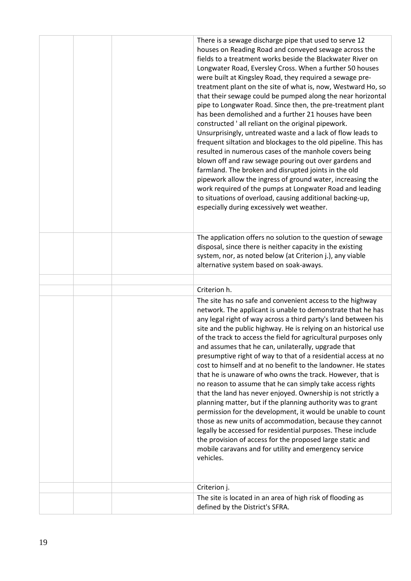|  | There is a sewage discharge pipe that used to serve 12<br>houses on Reading Road and conveyed sewage across the<br>fields to a treatment works beside the Blackwater River on<br>Longwater Road, Eversley Cross. When a further 50 houses<br>were built at Kingsley Road, they required a sewage pre-<br>treatment plant on the site of what is, now, Westward Ho, so<br>that their sewage could be pumped along the near horizontal<br>pipe to Longwater Road. Since then, the pre-treatment plant<br>has been demolished and a further 21 houses have been<br>constructed 'all reliant on the original pipework.<br>Unsurprisingly, untreated waste and a lack of flow leads to<br>frequent siltation and blockages to the old pipeline. This has<br>resulted in numerous cases of the manhole covers being<br>blown off and raw sewage pouring out over gardens and<br>farmland. The broken and disrupted joints in the old<br>pipework allow the ingress of ground water, increasing the<br>work required of the pumps at Longwater Road and leading<br>to situations of overload, causing additional backing-up,<br>especially during excessively wet weather. |
|--|---------------------------------------------------------------------------------------------------------------------------------------------------------------------------------------------------------------------------------------------------------------------------------------------------------------------------------------------------------------------------------------------------------------------------------------------------------------------------------------------------------------------------------------------------------------------------------------------------------------------------------------------------------------------------------------------------------------------------------------------------------------------------------------------------------------------------------------------------------------------------------------------------------------------------------------------------------------------------------------------------------------------------------------------------------------------------------------------------------------------------------------------------------------------|
|  | The application offers no solution to the question of sewage<br>disposal, since there is neither capacity in the existing<br>system, nor, as noted below (at Criterion j.), any viable<br>alternative system based on soak-aways.                                                                                                                                                                                                                                                                                                                                                                                                                                                                                                                                                                                                                                                                                                                                                                                                                                                                                                                                   |
|  |                                                                                                                                                                                                                                                                                                                                                                                                                                                                                                                                                                                                                                                                                                                                                                                                                                                                                                                                                                                                                                                                                                                                                                     |
|  | Criterion h.                                                                                                                                                                                                                                                                                                                                                                                                                                                                                                                                                                                                                                                                                                                                                                                                                                                                                                                                                                                                                                                                                                                                                        |
|  | The site has no safe and convenient access to the highway<br>network. The applicant is unable to demonstrate that he has<br>any legal right of way across a third party's land between his<br>site and the public highway. He is relying on an historical use<br>of the track to access the field for agricultural purposes only<br>and assumes that he can, unilaterally, upgrade that<br>presumptive right of way to that of a residential access at no<br>cost to himself and at no benefit to the landowner. He states<br>that he is unaware of who owns the track. However, that is<br>no reason to assume that he can simply take access rights<br>that the land has never enjoyed. Ownership is not strictly a<br>planning matter, but if the planning authority was to grant<br>permission for the development, it would be unable to count<br>those as new units of accommodation, because they cannot<br>legally be accessed for residential purposes. These include<br>the provision of access for the proposed large static and<br>mobile caravans and for utility and emergency service<br>vehicles.                                                   |
|  | Criterion j.                                                                                                                                                                                                                                                                                                                                                                                                                                                                                                                                                                                                                                                                                                                                                                                                                                                                                                                                                                                                                                                                                                                                                        |
|  | The site is located in an area of high risk of flooding as<br>defined by the District's SFRA.                                                                                                                                                                                                                                                                                                                                                                                                                                                                                                                                                                                                                                                                                                                                                                                                                                                                                                                                                                                                                                                                       |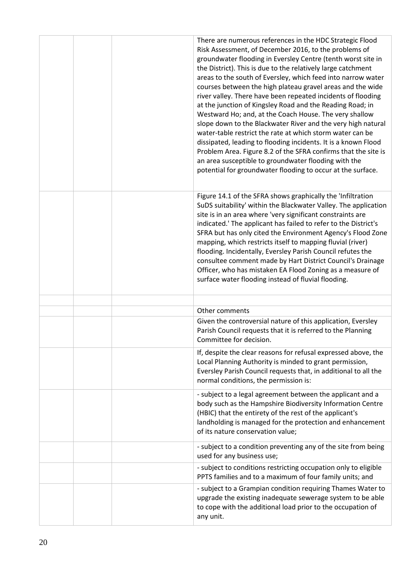|  | There are numerous references in the HDC Strategic Flood<br>Risk Assessment, of December 2016, to the problems of<br>groundwater flooding in Eversley Centre (tenth worst site in<br>the District). This is due to the relatively large catchment<br>areas to the south of Eversley, which feed into narrow water<br>courses between the high plateau gravel areas and the wide<br>river valley. There have been repeated incidents of flooding<br>at the junction of Kingsley Road and the Reading Road; in<br>Westward Ho; and, at the Coach House. The very shallow<br>slope down to the Blackwater River and the very high natural<br>water-table restrict the rate at which storm water can be<br>dissipated, leading to flooding incidents. It is a known Flood<br>Problem Area. Figure 8.2 of the SFRA confirms that the site is<br>an area susceptible to groundwater flooding with the<br>potential for groundwater flooding to occur at the surface. |
|--|----------------------------------------------------------------------------------------------------------------------------------------------------------------------------------------------------------------------------------------------------------------------------------------------------------------------------------------------------------------------------------------------------------------------------------------------------------------------------------------------------------------------------------------------------------------------------------------------------------------------------------------------------------------------------------------------------------------------------------------------------------------------------------------------------------------------------------------------------------------------------------------------------------------------------------------------------------------|
|  | Figure 14.1 of the SFRA shows graphically the 'Infiltration<br>SuDS suitability' within the Blackwater Valley. The application<br>site is in an area where 'very significant constraints are<br>indicated.' The applicant has failed to refer to the District's<br>SFRA but has only cited the Environment Agency's Flood Zone<br>mapping, which restricts itself to mapping fluvial (river)<br>flooding. Incidentally, Eversley Parish Council refutes the<br>consultee comment made by Hart District Council's Drainage<br>Officer, who has mistaken EA Flood Zoning as a measure of<br>surface water flooding instead of fluvial flooding.                                                                                                                                                                                                                                                                                                                  |
|  |                                                                                                                                                                                                                                                                                                                                                                                                                                                                                                                                                                                                                                                                                                                                                                                                                                                                                                                                                                |
|  | Other comments                                                                                                                                                                                                                                                                                                                                                                                                                                                                                                                                                                                                                                                                                                                                                                                                                                                                                                                                                 |
|  | Given the controversial nature of this application, Eversley<br>Parish Council requests that it is referred to the Planning<br>Committee for decision.                                                                                                                                                                                                                                                                                                                                                                                                                                                                                                                                                                                                                                                                                                                                                                                                         |
|  | If, despite the clear reasons for refusal expressed above, the<br>Local Planning Authority is minded to grant permission,<br>Eversley Parish Council requests that, in additional to all the<br>normal conditions, the permission is:                                                                                                                                                                                                                                                                                                                                                                                                                                                                                                                                                                                                                                                                                                                          |
|  | - subject to a legal agreement between the applicant and a<br>body such as the Hampshire Biodiversity Information Centre<br>(HBIC) that the entirety of the rest of the applicant's<br>landholding is managed for the protection and enhancement<br>of its nature conservation value;                                                                                                                                                                                                                                                                                                                                                                                                                                                                                                                                                                                                                                                                          |
|  | - subject to a condition preventing any of the site from being<br>used for any business use;                                                                                                                                                                                                                                                                                                                                                                                                                                                                                                                                                                                                                                                                                                                                                                                                                                                                   |
|  | - subject to conditions restricting occupation only to eligible<br>PPTS families and to a maximum of four family units; and                                                                                                                                                                                                                                                                                                                                                                                                                                                                                                                                                                                                                                                                                                                                                                                                                                    |
|  | - subject to a Grampian condition requiring Thames Water to<br>upgrade the existing inadequate sewerage system to be able<br>to cope with the additional load prior to the occupation of<br>any unit.                                                                                                                                                                                                                                                                                                                                                                                                                                                                                                                                                                                                                                                                                                                                                          |